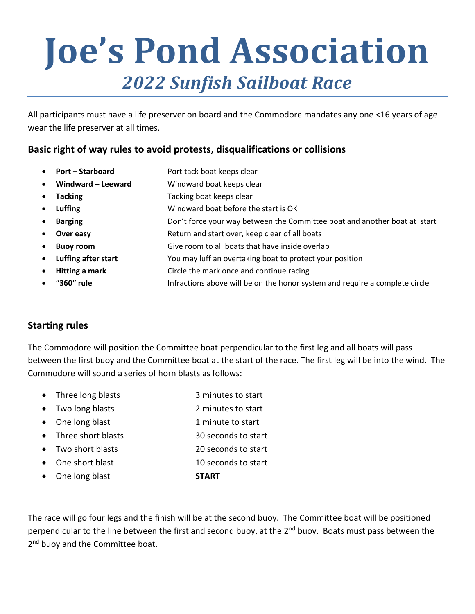# **Joe's Pond Association** *2022 Sunfish Sailboat Race*

All participants must have a life preserver on board and the Commodore mandates any one <16 years of age wear the life preserver at all times.

### **Basic right of way rules to avoid protests, disqualifications or collisions**

| $\bullet$ | <b>Port - Starboard</b> | Port tack boat keeps clear                                                |
|-----------|-------------------------|---------------------------------------------------------------------------|
| $\bullet$ | Windward - Leeward      | Windward boat keeps clear                                                 |
| $\bullet$ | <b>Tacking</b>          | Tacking boat keeps clear                                                  |
| $\bullet$ | <b>Luffing</b>          | Windward boat before the start is OK                                      |
| $\bullet$ | <b>Barging</b>          | Don't force your way between the Committee boat and another boat at start |
| $\bullet$ | Over easy               | Return and start over, keep clear of all boats                            |
| $\bullet$ | <b>Buoy room</b>        | Give room to all boats that have inside overlap                           |
| $\bullet$ | Luffing after start     | You may luff an overtaking boat to protect your position                  |
| $\bullet$ | Hitting a mark          | Circle the mark once and continue racing                                  |
|           |                         |                                                                           |

• "**360" rule** Infractions above will be on the honor system and require a complete circle

#### **Starting rules**

The Commodore will position the Committee boat perpendicular to the first leg and all boats will pass between the first buoy and the Committee boat at the start of the race. The first leg will be into the wind. The Commodore will sound a series of horn blasts as follows:

- Three long blasts 3 minutes to start
- Two long blasts 2 minutes to start
- One long blast 1 minute to start
- Three short blasts 30 seconds to start
- Two short blasts 20 seconds to start
- One short blast 10 seconds to start
- One long blast **START**

The race will go four legs and the finish will be at the second buoy. The Committee boat will be positioned perpendicular to the line between the first and second buoy, at the 2<sup>nd</sup> buoy. Boats must pass between the 2<sup>nd</sup> buoy and the Committee boat.